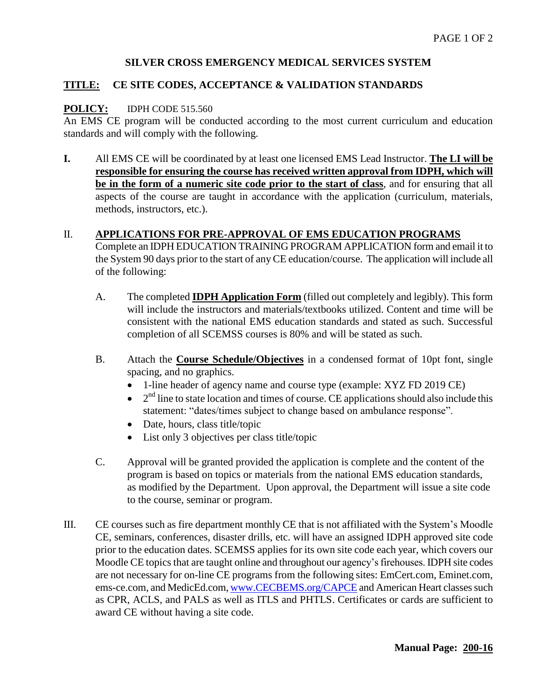# **SILVER CROSS EMERGENCY MEDICAL SERVICES SYSTEM**

### **TITLE: CE SITE CODES, ACCEPTANCE & VALIDATION STANDARDS**

#### **POLICY:** IDPH CODE 515.560

An EMS CE program will be conducted according to the most current curriculum and education standards and will comply with the following.

**I.** All EMS CE will be coordinated by at least one licensed EMS Lead Instructor. **The LI will be responsible for ensuring the course has received written approval from IDPH, which will be in the form of a numeric site code prior to the start of class**, and for ensuring that all aspects of the course are taught in accordance with the application (curriculum, materials, methods, instructors, etc.).

### II. **APPLICATIONS FOR PRE-APPROVAL OF EMS EDUCATION PROGRAMS**

Complete an IDPH EDUCATION TRAINING PROGRAM APPLICATION form and email it to the System 90 days prior to the start of any CE education/course. The application will include all of the following:

- A. The completed **IDPH Application Form** (filled out completely and legibly). This form will include the instructors and materials/textbooks utilized. Content and time will be consistent with the national EMS education standards and stated as such. Successful completion of all SCEMSS courses is 80% and will be stated as such.
- B. Attach the **Course Schedule/Objectives** in a condensed format of 10pt font, single spacing, and no graphics.
	- 1-line header of agency name and course type (example: XYZ FD 2019 CE)
	- $\bullet$  $2<sup>nd</sup>$  line to state location and times of course. CE applications should also include this statement: "dates/times subject to change based on ambulance response".
	- Date, hours, class title/topic
	- List only 3 objectives per class title/topic
- C. Approval will be granted provided the application is complete and the content of the program is based on topics or materials from the national EMS education standards, as modified by the Department. Upon approval, the Department will issue a site code to the course, seminar or program.
- III. CE courses such as fire department monthly CE that is not affiliated with the System's Moodle CE, seminars, conferences, disaster drills, etc. will have an assigned IDPH approved site code prior to the education dates. SCEMSS applies for its own site code each year, which covers our Moodle CE topics that are taught online and throughout our agency's firehouses. IDPH site codes are not necessary for on-line CE programs from the following sites: EmCert.com, Eminet.com, ems-ce.com, and MedicEd.com, [www.CECBEMS.org/CAPCE](http://www.cecbems.org/CAPCE) and American Heart classes such as CPR, ACLS, and PALS as well as ITLS and PHTLS. Certificates or cards are sufficient to award CE without having a site code.